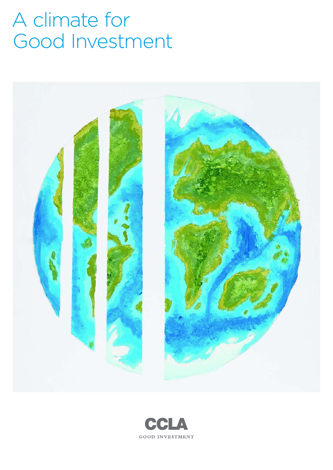# A climate for Good Investment



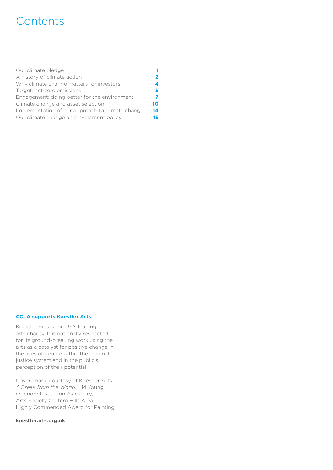## **Contents**

| Our climate pledge                               |    |
|--------------------------------------------------|----|
| A history of climate action                      |    |
| Why climate change matters for investors         | 4  |
| Target: net-zero emissions                       | 5  |
| Engagement: doing better for the environment     |    |
| Climate change and asset selection               | 10 |
| Implementation of our approach to climate change | 14 |
| Our climate change and investment policy         | 15 |
|                                                  |    |

#### **CCLA supports Koestler Arts**

Koestler Arts is the UK's leading arts charity. It is nationally respected for its ground-breaking work using the arts as a catalyst for positive change in the lives of people within the criminal justice system and in the public's perception of their potential.

Cover image courtesy of Koestler Arts. *A Break from the World*, HM Young Offender Institution Aylesbury, Arts Society Chiltern Hills Area Highly Commended Award for Painting.

#### **[koestlerarts.org.uk](http://www.koestlerarts.org.uk)**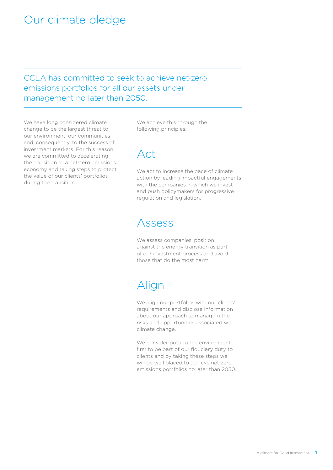### <span id="page-2-0"></span>Our climate pledge

CCLA has committed to seek to achieve net-zero emissions portfolios for all our assets under management no later than 2050.

We have long considered climate change to be the largest threat to our environment, our communities and, consequently, to the success of investment markets. For this reason, we are committed to accelerating the transition to a net-zero emissions economy and taking steps to protect the value of our clients' portfolios during the transition.

We achieve this through the following principles:

### Act

We act to increase the pace of climate action by leading impactful engagements with the companies in which we invest and push policymakers for progressive regulation and legislation.

### Assess

We assess companies' position against the energy transition as part of our investment process and avoid those that do the most harm.

# Align

We align our portfolios with our clients' requirements and disclose information about our approach to managing the risks and opportunities associated with climate change.

We consider putting the environment first to be part of our fiduciary duty to clients and by taking these steps we will be well placed to achieve net-zero emissions portfolios no later than 2050.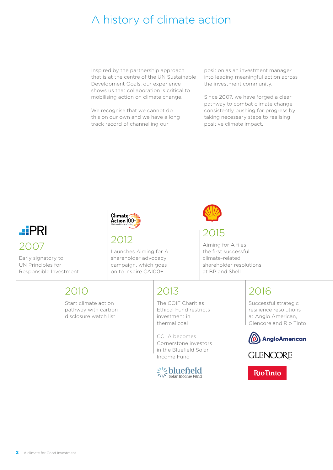# <span id="page-3-0"></span>A history of climate action

Inspired by the partnership approach that is at the centre of the UN Sustainable Development Goals, our experience shows us that collaboration is critical to mobilising action on climate change.

We recognise that we cannot do this on our own and we have a long track record of channelling our

position as an investment manager into leading meaningful action across the investment community.

Since 2007, we have forged a clear pathway to combat climate change consistently pushing for progress by taking necessary steps to realising positive climate impact.



Early signatory to UN Principles for Responsible Investment



2012

Launches Aiming for A shareholder advocacy campaign, which goes on to inspire CA100+



2015

Aiming for A files the first successful climate-related shareholder resolutions at BP and Shell

## 2010

Start climate action pathway with carbon disclosure watch list

### 2013

The COIF Charities Ethical Fund restricts investment in thermal coal

CCLA becomes Cornerstone investors in the Bluefield Solar Income Fund



# 2016

Successful strategic resilience resolutions at Anglo American, Glencore and Rio Tinto





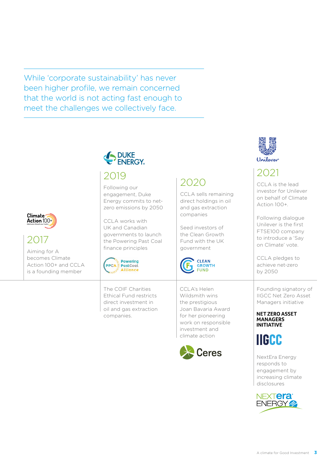While 'corporate sustainability' has never been higher profile, we remain concerned that the world is not acting fast enough to meet the challenges we collectively face.



### 2019

Following our engagement, Duke Energy commits to netzero emissions by 2050

CCLA works with UK and Canadian governments to launch the Powering Past Coal finance principles



The COIF Charities Ethical Fund restricts direct investment in oil and gas extraction companies.

### 2020

CCLA sells remaining direct holdings in oil and gas extraction companies

Seed investors of the Clean Growth Fund with the UK government



CCLA's Helen Wildsmith wins the prestigious Joan Bavaria Award for her pioneering work on responsible investment and climate action





## 2021

CCLA is the lead investor for Unilever on behalf of Climate Action 100+.

Following dialogue Unilever is the first FTSE100 company to introduce a 'Say on Climate' vote.

CCLA pledges to achieve net-zero by 2050

Founding signatory of IIGCC Net Zero Asset Managers initiative

**NET ZERO ASSET MANAGERS INITIATIVE** 



NextEra Energy responds to engagement by increasing climate disclosures



#### Climate<sup>-</sup> Action 100+

2017

Aiming for A becomes Climate Action 100+ and CCLA is a founding member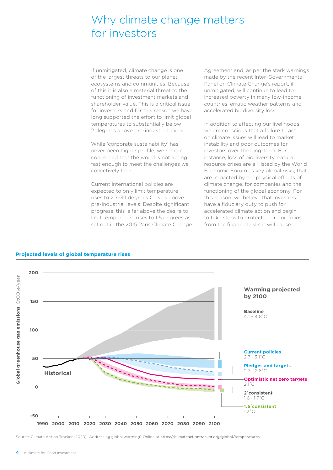### <span id="page-5-0"></span>Why climate change matters for investors

If unmitigated, climate change is one of the largest threats to our planet, ecosystems and communities. Because of this it is also a material threat to the functioning of investment markets and shareholder value. This is a critical issue for investors and for this reason we have long supported the effort to limit global temperatures to substantially below 2 degrees above pre-industrial levels.

While 'corporate sustainability' has never been higher profile, we remain concerned that the world is not acting fast enough to meet the challenges we collectively face.

Current international policies are expected to only limit temperature rises to 2.7–3.1 degrees Celsius above pre-industrial levels. Despite significant progress, this is far above the desire to limit temperature rises to 1.5 degrees as set out in the 2015 Paris Climate Change Agreement and, as per the stark warnings made by the recent Inter-Governmental Panel on Climate Change's report, if unmitigated, will continue to lead to increased poverty in many low-income countries, erratic weather patterns and accelerated biodiversity loss.

In addition to affecting our livelihoods, we are conscious that a failure to act on climate issues will lead to market instability and poor outcomes for investors over the long-term. For instance, loss of biodiversity, natural resource crises are all listed by the World Economic Forum as key global risks, that are impacted by the physical effects of climate change, for companies and the functioning of the global economy. For this reason, we believe that investors have a fiduciary duty to push for accelerated climate action and begin to take steps to protect their portfolios from the financial risks it will cause.



#### **Projected levels of global temperature rises**

Source: Climate Action Tracker (2020), 'Addressing global warming'. Online at <https://climateactiontracker.org/global/temperatures>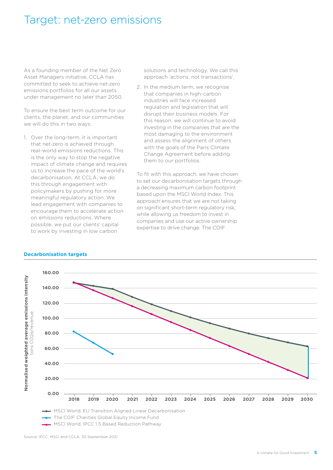### <span id="page-6-0"></span>Target: net-zero emissions

As a founding member of the Net Zero Asset Managers initiative, CCLA has committed to seek to achieve net-zero emissions portfolios for all our assets under management no later than 2050.

To ensure the best term outcome for our clients, the planet, and our communities we will do this in two ways.

1. Over the long-term, it is important that net-zero is achieved through real-world emissions reductions. This is the only way to stop the negative impact of climate change and requires us to increase the pace of the world's decarbonisation. At CCLA, we do this through engagement with policymakers by pushing for more meaningful regulatory action. We lead engagement with companies to encourage them to accelerate action on emissions reductions. Where possible, we put our clients' capital to work by investing in low carbon

solutions and technology. We call this approach 'actions, not transactions'.

2. In the medium term, we recognise that companies in high-carbon industries will face increased regulation and legislation that will disrupt their business models. For this reason, we will continue to avoid investing in the companies that are the most damaging to the environment and assess the alignment of others with the goals of the Paris Climate Change Agreement before adding them to our portfolios.

To fit with this approach, we have chosen to set our decarbonisation targets through a decreasing maximum carbon footprint based upon the MSCI World Index. This approach ensures that we are not taking on significant short-term regulatory risk, while allowing us freedom to invest in companies and use our active ownership expertise to drive change. The COIF



#### **Decarbonisation targets**

Source: IPCC, MSCI and CCLA, 30 September 2021.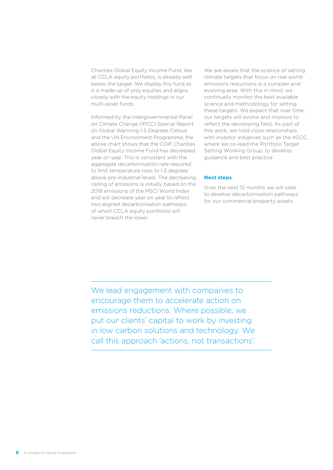Charities Global Equity Income Fund, like all CCLA equity portfolios, is already well below the target. We display this fund as it is made up of only equities and aligns closely with the equity holdings in our multi-asset funds.

Informed by the Intergovernmental Panel on Climate Change (IPCC) Special Report on Global Warming 1.5 Degrees Celsius and the UN Environment Programme, the above chart shows that the COIF Charities Global Equity Income Fund has decreased year on year. This is consistent with the aggregate decarbonisation rate required to limit temperature rises to 1.5 degrees above pre-industrial levels. The decreasing ceiling of emissions is initially based on the 2018 emissions of the MSCI World Index and will decrease year on year to reflect two aligned decarbonisation pathways, of which CCLA equity portfolios will never breach the lower.

We are aware that the science of setting climate targets that focus on real world emissions reductions is a complex and evolving area. With this in mind, we continually monitor the best available science and methodology for setting these targets. We expect that over time, our targets will evolve and improve to reflect the developing field. As part of this work, we hold close relationships with investor initiatives such as the IIGCC. where we co-lead the Portfolio Target Setting Working Group, to develop guidance and best practice.

#### **Next steps**

Over the next 12 months we will seek to develop decarbonisation pathways for our commercial property assets.

We lead engagement with companies to encourage them to accelerate action on emissions reductions. Where possible, we put our clients' capital to work by investing in low carbon solutions and technology. We call this approach 'actions, not transactions'.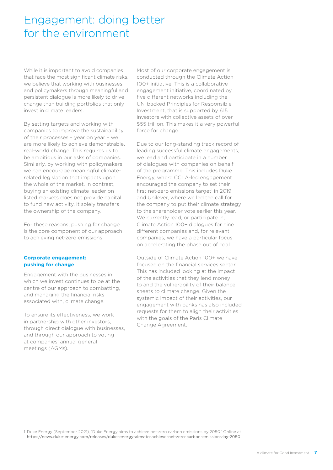### <span id="page-8-0"></span>Engagement: doing better for the environment

While it is important to avoid companies that face the most significant climate risks, we believe that working with businesses and policymakers through meaningful and persistent dialogue is more likely to drive change than building portfolios that only invest in climate leaders.

By setting targets and working with companies to improve the sustainability of their processes – year on year – we are more likely to achieve demonstrable, real-world change. This requires us to be ambitious in our asks of companies. Similarly, by working with policymakers, we can encourage meaningful climaterelated legislation that impacts upon the whole of the market. In contrast, buying an existing climate leader on listed markets does not provide capital to fund new activity, it solely transfers the ownership of the company.

For these reasons, pushing for change is the core component of our approach to achieving net-zero emissions.

#### **Corporate engagement: pushing for change**

Engagement with the businesses in which we invest continues to be at the centre of our approach to combatting, and managing the financial risks associated with, climate change.

To ensure its effectiveness, we work in partnership with other investors, through direct dialogue with businesses, and through our approach to voting at companies' annual general meetings (AGMs).

Most of our corporate engagement is conducted through the Climate Action 100+ initiative. This is a collaborative engagement initiative, coordinated by five different networks including the UN-backed Principles for Responsible Investment, that is supported by 615 investors with collective assets of over \$55 trillion. This makes it a very powerful force for change.

Due to our long-standing track record of leading successful climate engagements, we lead and participate in a number of dialogues with companies on behalf of the programme. This includes Duke Energy, where CCLA-led engagement encouraged the company to set their first net-zero emissions target<sup>1</sup> in 2019 and Unilever, where we led the call for the company to put their climate strategy to the shareholder vote earlier this year. We currently lead, or participate in. Climate Action 100+ dialogues for nine different companies and, for relevant companies, we have a particular focus on accelerating the phase out of coal.

Outside of Climate Action 100+ we have focused on the financial services sector. This has included looking at the impact of the activities that they lend money to and the vulnerability of their balance sheets to climate change. Given the systemic impact of their activities, our engagement with banks has also included requests for them to align their activities with the goals of the Paris Climate Change Agreement.

1 Duke Energy (September 2021), 'Duke Energy aims to achieve net-zero carbon emissions by 2050.' Online at <https://news.duke-energy.com/releases/duke-energy-aims-to-achieve-net-zero-carbon-emissions-by-2050>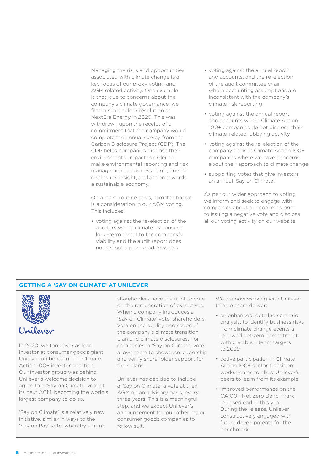Managing the risks and opportunities associated with climate change is a key focus of our proxy voting and AGM related activity. One example is that, due to concerns about the company's climate governance, we filed a shareholder resolution at NextEra Energy in 2020. This was withdrawn upon the receipt of a commitment that the company would complete the annual survey from the Carbon Disclosure Project (CDP). The CDP helps companies disclose their environmental impact in order to make environmental reporting and risk management a business norm, driving disclosure, insight, and action towards a sustainable economy.

On a more routine basis, climate change is a consideration in our AGM voting. This includes:

• voting against the re-election of the auditors where climate risk poses a long-term threat to the company's viability and the audit report does not set out a plan to address this

- voting against the annual report and accounts, and the re-election of the audit committee chair where accounting assumptions are inconsistent with the company's climate risk reporting
- voting against the annual report and accounts where Climate Action 100+ companies do not disclose their climate-related lobbying activity
- voting against the re-election of the company chair at Climate Action 100+ companies where we have concerns about their approach to climate change
- supporting votes that give investors an annual 'Say on Climate'.

As per our wider approach to voting. we inform and seek to engage with companies about our concerns prior to issuing a negative vote and disclose all our voting activity on our website.

#### **GETTING A 'SAY ON CLIMATE' AT UNILEVER**



In 2020, we took over as lead investor at consumer goods giant Unilever on behalf of the Climate Action 100+ investor coalition. Our investor group was behind Unilever's welcome decision to agree to a 'Say on Climate' vote at its next AGM, becoming the world's largest company to do so.

'Say on Climate' is a relatively new initiative, similar in ways to the 'Say on Pay' vote, whereby a firm's

shareholders have the right to vote on the remuneration of executives. When a company introduces a 'Say on Climate' vote, shareholders vote on the quality and scope of the company's climate transition plan and climate disclosures. For companies, a 'Say on Climate' vote allows them to showcase leadership and verify shareholder support for their plans.

Unilever has decided to include a 'Say on Climate' a vote at their AGM on an advisory basis, every three years. This is a meaningful step, and we expect Unilever's announcement to spur other major consumer goods companies to follow suit.

We are now working with Unilever to help them deliver:

- an enhanced, detailed scenario analysis, to identify business risks from climate change events a renewed net-zero commitment, with credible interim targets to 2039
- active participation in Climate Action 100+ sector transition workstreams to allow Unilever's peers to learn from its example
- improved performance on the CA100+ Net Zero Benchmark, released earlier this year. During the release, Unilever constructively engaged with future developments for the benchmark.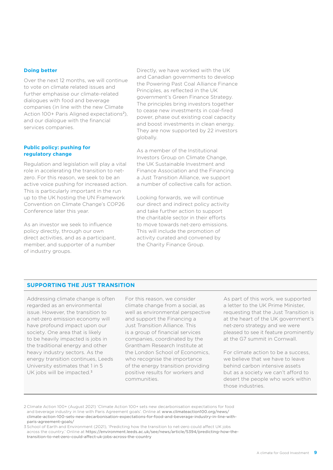#### **Doing better**

Over the next 12 months, we will continue to vote on climate related issues and further emphasise our climate-related dialogues with food and beverage companies (in line with the new Climate Action 100+ Paris Aligned expectations<sup>2</sup>), and our dialogue with the financial services companies.

#### **Public policy: pushing for regulatory change**

Regulation and legislation will play a vital role in accelerating the transition to netzero. For this reason, we seek to be an active voice pushing for increased action. This is particularly important in the run up to the UK hosting the UN Framework Convention on Climate Change's COP26 Conference later this year.

As an investor we seek to influence policy directly, through our own direct activities, and as a participant, member, and supporter of a number of industry groups.

Directly, we have worked with the UK and Canadian governments to develop the Powering Past Coal Alliance Finance Principles, as reflected in the UK government's Green Finance Strategy. The principles bring investors together to cease new investments in coal-fired power, phase out existing coal capacity and boost investments in clean energy. They are now supported by 22 investors globally.

As a member of the Institutional Investors Group on Climate Change, the UK Sustainable Investment and Finance Association and the Financing a Just Transition Alliance, we support a number of collective calls for action.

Looking forwards, we will continue our direct and indirect policy activity and take further action to support the charitable sector in their efforts to move towards net-zero emissions. This will include the promotion of activity curated and convened by the Charity Finance Group.

#### **SUPPORTING THE JUST TRANSITION**

Addressing climate change is often regarded as an environmental issue. However, the transition to a net-zero emission economy will have profound impact upon our society. One area that is likely to be heavily impacted is jobs in the traditional energy and other heavy industry sectors. As the energy transition continues, Leeds University estimates that 1 in 5 UK jobs will be impacted.<sup>3</sup>

For this reason, we consider climate change from a social, as well as environmental perspective and support the Financing a Just Transition Alliance. This is a group of financial services companies, coordinated by the Grantham Research Institute at the London School of Economics, who recognise the importance of the energy transition providing positive results for workers and communities.

As part of this work, we supported a letter to the UK Prime Minister, requesting that the Just Transition is at the heart of the UK government's net-zero strategy and we were pleased to see it feature prominently at the G7 summit in Cornwall.

For climate action to be a success, we believe that we have to leave behind carbon intensive assets but as a society we can't afford to desert the people who work within those industries.

2 Climate Action 100+ (August 2021) 'Climate Action 100+ sets new decarbonisation expectations for food and beverage industry in line with Paris Agreement goals'. Online at [www.climateaction100.org/news/](http://www.climateaction100.org/news/climate-action-100-sets-new-decarbonisation-expectations-for-food-and-beverage-industry-in-line-with-paris-agreement-goals/) [climate-action-100-sets-new-decarbonisation-expectations-for-food-and-beverage-industry-in-line-with](http://www.climateaction100.org/news/climate-action-100-sets-new-decarbonisation-expectations-for-food-and-beverage-industry-in-line-with-paris-agreement-goals/)[paris-agreement-goals/](http://www.climateaction100.org/news/climate-action-100-sets-new-decarbonisation-expectations-for-food-and-beverage-industry-in-line-with-paris-agreement-goals/)

<sup>3</sup> School of Earth and Environment (2021), 'Predicting how the transition to net-zero could affect UK jobs across the country.' Online at [https://environment.leeds.ac.uk/see/news/article/5394/predicting-how-the](https://environment.leeds.ac.uk/see/news/article/5394/predicting-how-the-transition-to-net-zero-could-affect-uk-jobs-across-the-country)[transition-to-net-zero-could-affect-uk-jobs-across-the-country](https://environment.leeds.ac.uk/see/news/article/5394/predicting-how-the-transition-to-net-zero-could-affect-uk-jobs-across-the-country)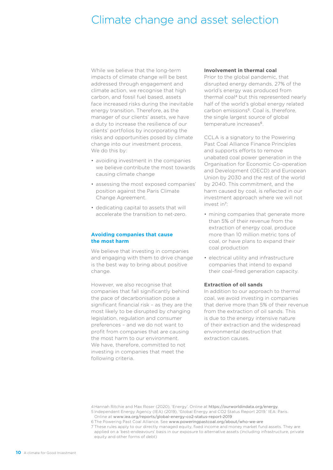### <span id="page-11-0"></span>Climate change and asset selection

While we believe that the long-term impacts of climate change will be best addressed through engagement and climate action, we recognise that high carbon, and fossil fuel based, assets face increased risks during the inevitable energy transition. Therefore, as the manager of our clients' assets, we have a duty to increase the resilience of our clients' portfolios by incorporating the risks and opportunities posed by climate change into our investment process. We do this by:

- avoiding investment in the companies we believe contribute the most towards causing climate change
- assessing the most exposed companies' position against the Paris Climate Change Agreement.
- dedicating capital to assets that will accelerate the transition to net-zero.

#### **Avoiding companies that cause the most harm**

We believe that investing in companies and engaging with them to drive change is the best way to bring about positive change.

However, we also recognise that companies that fall significantly behind the pace of decarbonisation pose a significant financial risk – as they are the most likely to be disrupted by changing legislation, regulation and consumer preferences – and we do not want to profit from companies that are causing the most harm to our environment. We have, therefore, committed to not investing in companies that meet the following criteria.

#### **Involvement in thermal coal**

Prior to the global pandemic, that disrupted energy demands, 27% of the world's energy was produced from thermal coal4 but this represented nearly half of the world's global energy related carbon emissions<sup>5</sup>. Coal is, therefore, the single largest source of global temperature increases<sup>6</sup>.

CCLA is a signatory to the Powering Past Coal Alliance Finance Principles and supports efforts to remove unabated coal power generation in the Organisation for Economic Co-operation and Development (OECD) and European Union by 2030 and the rest of the world by 2040. This commitment, and the harm caused by coal, is reflected in our investment approach where we will not invest in7:

- mining companies that generate more than 5% of their revenue from the extraction of energy coal, produce more than 10 million metric tons of coal, or have plans to expand their coal production
- electrical utility and infrastructure companies that intend to expand their coal-fired generation capacity.

#### **Extraction of oil sands**

In addition to our approach to thermal coal, we avoid investing in companies that derive more than 5% of their revenue from the extraction of oil sands. This is due to the energy intensive nature of their extraction and the widespread environmental destruction that extraction causes.

4Hannah Ritchie and Max Roser (2020), 'Energy'. Online at <https://ourworldindata.org/energy>. 5 Independent Energy Agency (IEA) (2019), 'Global Energy and CO2 Status Report 2019.' IEA: Paris.

Online at [www.iea.org/reports/global-energy-co2-status-report-2019](http://www.iea.org/reports/global-energy-co2-status-report-2019)

7 These rules apply to our directly managed equity, fixed income and money market fund assets. They are applied on a 'best-endeavours' basis in our exposure to alternative assets (including infrastructure, private equity and other forms of debt)

<sup>6</sup> The Powering Past Coal Alliance. See [www.poweringpastcoal.org/about/who-we-are](http://www.poweringpastcoal.org/about/who-we-are)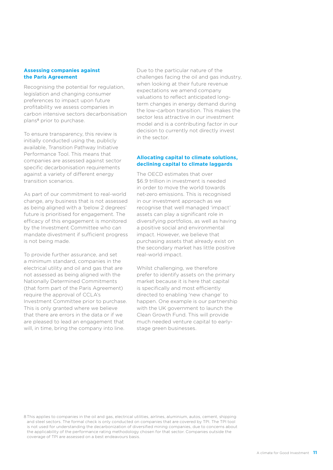#### **Assessing companies against the Paris Agreement**

Recognising the potential for regulation, legislation and changing consumer preferences to impact upon future profitability we assess companies in carbon intensive sectors decarbonisation plans8 prior to purchase.

To ensure transparency, this review is initially conducted using the, publicly available, Transition Pathway Initiative Performance Tool. This means that companies are assessed against sector specific decarbonisation requirements against a variety of different energy transition scenarios.

As part of our commitment to real-world change, any business that is not assessed as being aligned with a 'below 2 degrees' future is prioritised for engagement. The efficacy of this engagement is monitored by the Investment Committee who can mandate divestment if sufficient progress is not being made.

To provide further assurance, and set a minimum standard, companies in the electrical utility and oil and gas that are not assessed as being aligned with the Nationally Determined Commitments (that form part of the Paris Agreement) require the approval of CCLA's Investment Committee prior to purchase. This is only granted where we believe that there are errors in the data or if we are pleased to lead an engagement that will, in time, bring the company into line.

Due to the particular nature of the challenges facing the oil and gas industry, when looking at their future revenue expectations we amend company valuations to reflect anticipated longterm changes in energy demand during the low-carbon transition. This makes the sector less attractive in our investment model and is a contributing factor in our decision to currently not directly invest in the sector.

#### **Allocating capital to climate solutions, declining capital to climate laggards**

The OECD estimates that over \$6.9 trillion in investment is needed in order to move the world towards net-zero emissions. This is recognised in our investment approach as we recognise that well managed 'impact' assets can play a significant role in diversifying portfolios, as well as having a positive social and environmental impact. However, we believe that purchasing assets that already exist on the secondary market has little positive real-world impact.

Whilst challenging, we therefore prefer to identify assets on the primary market because it is here that capital is specifically and most efficiently directed to enabling 'new change' to happen. One example is our partnership with the UK government to launch the Clean Growth Fund. This will provide much needed venture capital to earlystage green businesses.

8 This applies to companies in the oil and gas, electrical utilities, airlines, aluminium, autos, cement, shipping and steel sectors. The formal check is only conducted on companies that are covered by TPI. The TPI tool is not used for understanding the decarbonization of diversified mining companies, due to concerns about the applicability of the performance rating methodology chosen for that sector. Companies outside the coverage of TPI are assessed on a best endeavours basis.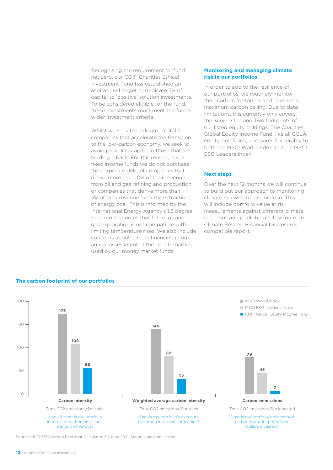Recognising the requirement to 'fund' net-zero, our COIF Charities Ethical Investment Fund has established an aspirational target to dedicate 5% of capital to 'positive' solution investments. To be considered eligible for the fund, these investments must meet the fund's wider investment criteria.

Whilst we seek to dedicate capital to companies that accelerate the transition to the low-carbon economy, we seek to avoid providing capital to those that are holding it back. For this reason, in our fixed income funds we do not purchase the corporate debt of companies that derive more than 10% of their revenue from oil and gas refining and production or companies that derive more than 5% of their revenue from the extraction of energy coal. This is informed by the International Energy Agency's 1.5 degree scenario that notes that future oil and gas exploration is not compatible with limiting temperature rises. We also include concerns about climate financing in our annual assessment of the counterparties used by our money market funds.

#### **Monitoring and managing climate risk in our portfolios**

In order to add to the resilience of our portfolios, we routinely monitor their carbon footprints and have set a maximum carbon ceiling. Due to data limitations, this currently only covers the Scope One and Two footprints of our listed equity holdings. The Charities Global Equity Income Fund, like all CCLA equity portfolios, compares favourably to both the MSCI World Index and the MSCI ESG Leaders Index.

#### **Next steps**

Over the next 12 months we will continue to build out our approach to monitoring climate risk within our portfolio. This will include portfolio value at risk measurements against different climate scenarios and publishing a Taskforce on Climate Related Financial Disclosures compatible report.



**The carbon footprint of our portfolios**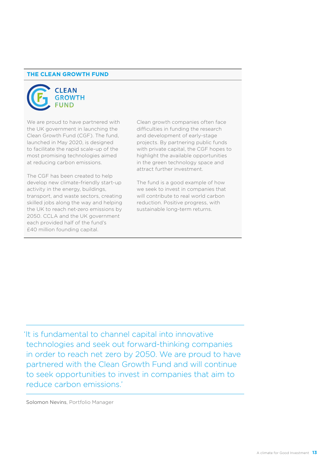#### **THE CLEAN GROWTH FUND**



We are proud to have partnered with the UK government in launching the Clean Growth Fund (CGF). The fund, launched in May 2020, is designed to facilitate the rapid scale-up of the most promising technologies aimed at reducing carbon emissions.

The CGF has been created to help develop new climate-friendly start-up activity in the energy, buildings, transport, and waste sectors, creating skilled jobs along the way and helping the UK to reach net-zero emissions by 2050. CCLA and the UK government each provided half of the fund's £40 million founding capital.

Clean growth companies often face difficulties in funding the research and development of early-stage projects. By partnering public funds with private capital, the CGF hopes to highlight the available opportunities in the green technology space and attract further investment.

The fund is a good example of how we seek to invest in companies that will contribute to real world carbon reduction. Positive progress, with sustainable long-term returns.

'It is fundamental to channel capital into innovative technologies and seek out forward-thinking companies in order to reach net zero by 2050. We are proud to have partnered with the Clean Growth Fund and will continue to seek opportunities to invest in companies that aim to reduce carbon emissions.'

Solomon Nevins, Portfolio Manager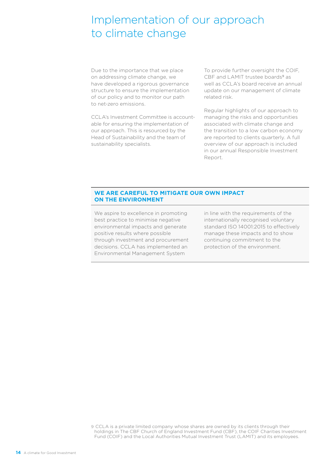### <span id="page-15-0"></span>Implementation of our approach to climate change

Due to the importance that we place on addressing climate change, we have developed a rigorous governance structure to ensure the implementation of our policy and to monitor our path to net-zero emissions.

CCLA's Investment Committee is accountable for ensuring the implementation of our approach. This is resourced by the Head of Sustainability and the team of sustainability specialists.

To provide further oversight the COIF, CBF and LAMIT trustee boards<sup>9</sup> as well as CCLA's board receive an annual update on our management of climate related risk.

Regular highlights of our approach to managing the risks and opportunities associated with climate change and the transition to a low carbon economy are reported to clients quarterly. A full overview of our approach is included in our annual Responsible Investment Report.

#### **WE ARE CAREFUL TO MITIGATE OUR OWN IMPACT ON THE ENVIRONMENT**

We aspire to excellence in promoting best practice to minimise negative environmental impacts and generate positive results where possible through investment and procurement decisions. CCLA has implemented an Environmental Management System

in line with the requirements of the internationally recognised voluntary standard ISO 14001:2015 to effectively manage these impacts and to show continuing commitment to the protection of the environment.

9 CCLA is a private limited company whose shares are owned by its clients through their holdings in The CBF Church of England Investment Fund (CBF), the COIF Charities Investment Fund (COIF) and the Local Authorities Mutual Investment Trust (LAMIT) and its employees.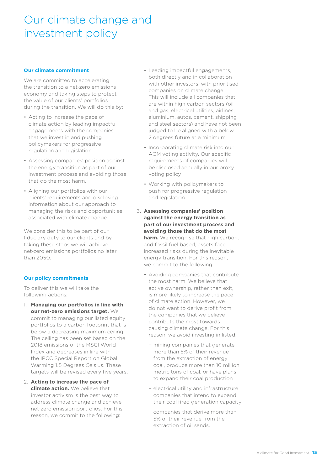### <span id="page-16-0"></span>Our climate change and investment policy

#### **Our climate commitment**

We are committed to accelerating the transition to a net-zero emissions economy and taking steps to protect the value of our clients' portfolios during the transition. We will do this by:

- Acting to increase the pace of climate action by leading impactful engagements with the companies that we invest in and pushing policymakers for progressive regulation and legislation.
- Assessing companies' position against the energy transition as part of our investment process and avoiding those that do the most harm.
- Aligning our portfolios with our clients' requirements and disclosing information about our approach to managing the risks and opportunities associated with climate change.

We consider this to be part of our fiduciary duty to our clients and by taking these steps we will achieve net-zero emissions portfolios no later than 2050.

#### **Our policy commitments**

To deliver this we will take the following actions:

- 1. **Managing our portfolios in line with our net-zero emissions target.** We commit to managing our listed equity portfolios to a carbon footprint that is below a decreasing maximum ceiling. The ceiling has been set based on the 2018 emissions of the MSCI World Index and decreases in line with the IPCC Special Report on Global Warming 1.5 Degrees Celsius. These targets will be revised every five years.
- 2. **Acting to increase the pace of climate action.** We believe that investor activism is the best way to address climate change and achieve net-zero emission portfolios. For this reason, we commit to the following:
- Leading impactful engagements, both directly and in collaboration with other investors, with prioritised companies on climate change. This will include all companies that are within high carbon sectors (oil and gas, electrical utilities, airlines, aluminium, autos, cement, shipping and steel sectors) and have not been judged to be aligned with a below 2 degrees future at a minimum
- Incorporating climate risk into our AGM voting activity. Our specific requirements of companies will be disclosed annually in our proxy voting policy
- Working with policymakers to push for progressive regulation and legislation.
- 3. **Assessing companies' position against the energy transition as part of our investment process and avoiding those that do the most harm.** We recognise that high carbon, and fossil fuel based, assets face increased risks during the inevitable energy transition. For this reason, we commit to the following:
	- Avoiding companies that contribute the most harm. We believe that active ownership, rather than exit, is more likely to increase the pace of climate action. However, we do not want to derive profit from the companies that we believe contribute the most towards causing climate change. For this reason, we avoid investing in listed:
		- − mining companies that generate more than 5% of their revenue from the extraction of energy coal, produce more than 10 million metric tons of coal, or have plans to expand their coal production
		- − electrical utility and infrastructure companies that intend to expand their coal fired generation capacity
		- − companies that derive more than 5% of their revenue from the extraction of oil sands.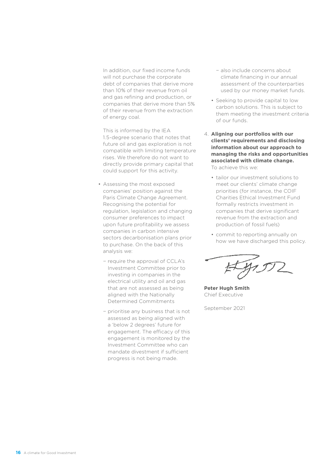In addition, our fixed income funds will not purchase the corporate debt of companies that derive more than 10% of their revenue from oil and gas refining and production, or companies that derive more than 5% of their revenue from the extraction of energy coal.

This is informed by the IEA 1.5-degree scenario that notes that future oil and gas exploration is not compatible with limiting temperature rises. We therefore do not want to directly provide primary capital that could support for this activity.

- Assessing the most exposed companies' position against the Paris Climate Change Agreement. Recognising the potential for regulation, legislation and changing consumer preferences to impact upon future profitability we assess companies in carbon intensive sectors decarbonisation plans prior to purchase. On the back of this analysis we:
	- − require the approval of CCLA's Investment Committee prior to investing in companies in the electrical utility and oil and gas that are not assessed as being aligned with the Nationally Determined Commitments
	- − prioritise any business that is not assessed as being aligned with a 'below 2 degrees' future for engagement. The efficacy of this engagement is monitored by the Investment Committee who can mandate divestment if sufficient progress is not being made.
- − also include concerns about climate financing in our annual assessment of the counterparties used by our money market funds.
- Seeking to provide capital to low carbon solutions. This is subject to them meeting the investment criteria of our funds.
- 4. **Aligning our portfolios with our clients' requirements and disclosing information about our approach to managing the risks and opportunities associated with climate change.**  To achieve this we:
	- tailor our investment solutions to meet our clients' climate change priorities (for instance, the COIF Charities Ethical Investment Fund formally restricts investment in companies that derive significant revenue from the extraction and production of fossil fuels)
	- commit to reporting annually on how we have discharged this policy.

**Peter Hugh Smith** Chief Executive

September 2021